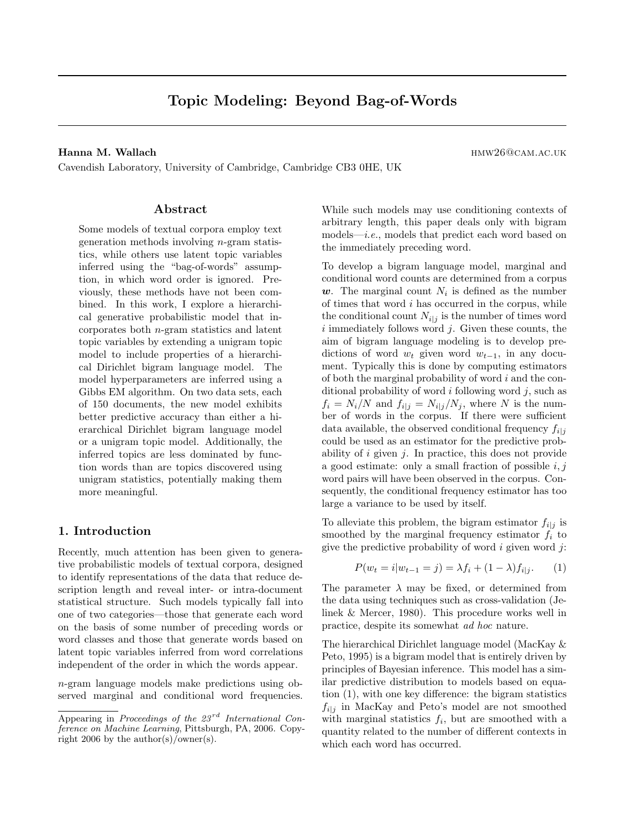# Topic Modeling: Beyond Bag-of-Words

Hanna M. Wallach **hanna M. Wallach** hand the second term of the second term of the second term of the second term of the second term of the second term of the second term of the second term of the second term of the second

Cavendish Laboratory, University of Cambridge, Cambridge CB3 0HE, UK

## Abstract

Some models of textual corpora employ text generation methods involving  $n$ -gram statistics, while others use latent topic variables inferred using the "bag-of-words" assumption, in which word order is ignored. Previously, these methods have not been combined. In this work, I explore a hierarchical generative probabilistic model that incorporates both n-gram statistics and latent topic variables by extending a unigram topic model to include properties of a hierarchical Dirichlet bigram language model. The model hyperparameters are inferred using a Gibbs EM algorithm. On two data sets, each of 150 documents, the new model exhibits better predictive accuracy than either a hierarchical Dirichlet bigram language model or a unigram topic model. Additionally, the inferred topics are less dominated by function words than are topics discovered using unigram statistics, potentially making them more meaningful.

## 1. Introduction

Recently, much attention has been given to generative probabilistic models of textual corpora, designed to identify representations of the data that reduce description length and reveal inter- or intra-document statistical structure. Such models typically fall into one of two categories—those that generate each word on the basis of some number of preceding words or word classes and those that generate words based on latent topic variables inferred from word correlations independent of the order in which the words appear.

n-gram language models make predictions using observed marginal and conditional word frequencies.

While such models may use conditioning contexts of arbitrary length, this paper deals only with bigram models—*i.e.*, models that predict each word based on the immediately preceding word.

To develop a bigram language model, marginal and conditional word counts are determined from a corpus  $w$ . The marginal count  $N_i$  is defined as the number of times that word  $i$  has occurred in the corpus, while the conditional count  $N_{i|j}$  is the number of times word  $i$  immediately follows word  $j$ . Given these counts, the aim of bigram language modeling is to develop predictions of word  $w_t$  given word  $w_{t-1}$ , in any document. Typically this is done by computing estimators of both the marginal probability of word  $i$  and the conditional probability of word  $i$  following word  $j$ , such as  $f_i = N_i/N$  and  $f_{i|j} = N_{i|j}/N_j$ , where N is the number of words in the corpus. If there were sufficient data available, the observed conditional frequency  $f_{i|j}$ could be used as an estimator for the predictive probability of  $i$  given  $j$ . In practice, this does not provide a good estimate: only a small fraction of possible  $i, j$ word pairs will have been observed in the corpus. Consequently, the conditional frequency estimator has too large a variance to be used by itself.

To alleviate this problem, the bigram estimator  $f_{i|j}$  is smoothed by the marginal frequency estimator  $f_i$  to give the predictive probability of word  $i$  given word  $j$ :

$$
P(w_t = i|w_{t-1} = j) = \lambda f_i + (1 - \lambda)f_{i|j}.
$$
 (1)

The parameter  $\lambda$  may be fixed, or determined from the data using techniques such as cross-validation (Jelinek & Mercer, 1980). This procedure works well in practice, despite its somewhat ad hoc nature.

The hierarchical Dirichlet language model (MacKay & Peto, 1995) is a bigram model that is entirely driven by principles of Bayesian inference. This model has a similar predictive distribution to models based on equation (1), with one key difference: the bigram statistics  $f_{i|j}$  in MacKay and Peto's model are not smoothed with marginal statistics  $f_i$ , but are smoothed with a quantity related to the number of different contexts in which each word has occurred.

Appearing in Proceedings of the  $23^{rd}$  International Conference on Machine Learning, Pittsburgh, PA, 2006. Copyright 2006 by the author(s)/owner(s).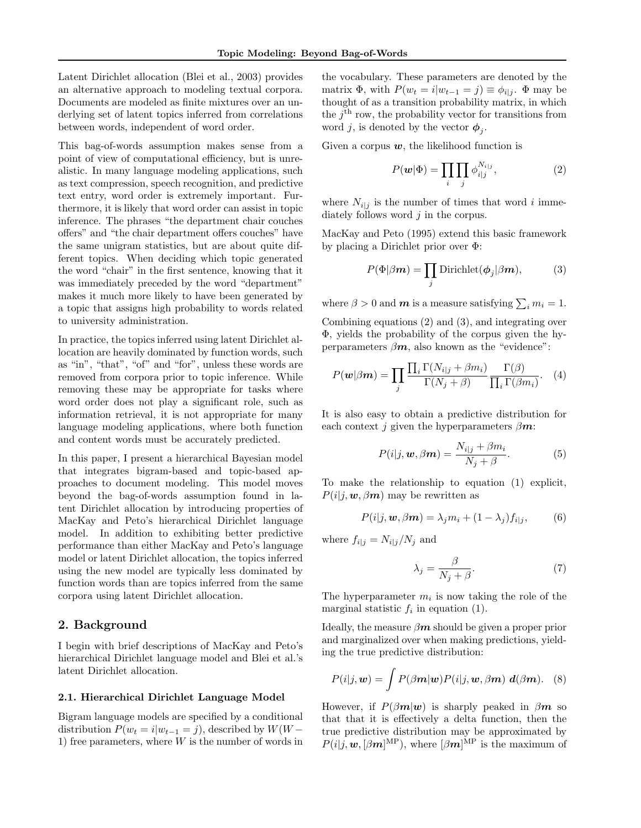Latent Dirichlet allocation (Blei et al., 2003) provides an alternative approach to modeling textual corpora. Documents are modeled as finite mixtures over an underlying set of latent topics inferred from correlations between words, independent of word order.

This bag-of-words assumption makes sense from a point of view of computational efficiency, but is unrealistic. In many language modeling applications, such as text compression, speech recognition, and predictive text entry, word order is extremely important. Furthermore, it is likely that word order can assist in topic inference. The phrases "the department chair couches offers" and "the chair department offers couches" have the same unigram statistics, but are about quite different topics. When deciding which topic generated the word "chair" in the first sentence, knowing that it was immediately preceded by the word "department" makes it much more likely to have been generated by a topic that assigns high probability to words related to university administration.

In practice, the topics inferred using latent Dirichlet allocation are heavily dominated by function words, such as "in", "that", "of" and "for", unless these words are removed from corpora prior to topic inference. While removing these may be appropriate for tasks where word order does not play a significant role, such as information retrieval, it is not appropriate for many language modeling applications, where both function and content words must be accurately predicted.

In this paper, I present a hierarchical Bayesian model that integrates bigram-based and topic-based approaches to document modeling. This model moves beyond the bag-of-words assumption found in latent Dirichlet allocation by introducing properties of MacKay and Peto's hierarchical Dirichlet language model. In addition to exhibiting better predictive performance than either MacKay and Peto's language model or latent Dirichlet allocation, the topics inferred using the new model are typically less dominated by function words than are topics inferred from the same corpora using latent Dirichlet allocation.

# 2. Background

I begin with brief descriptions of MacKay and Peto's hierarchical Dirichlet language model and Blei et al.'s latent Dirichlet allocation.

#### 2.1. Hierarchical Dirichlet Language Model

Bigram language models are specified by a conditional distribution  $P(w_t = i|w_{t-1} = j)$ , described by  $W(W -$ 1) free parameters, where  $W$  is the number of words in

the vocabulary. These parameters are denoted by the matrix  $\Phi$ , with  $P(w_t = i | w_{t-1} = j) \equiv \phi_{i|j}$ .  $\Phi$  may be thought of as a transition probability matrix, in which the  $j<sup>th</sup>$  row, the probability vector for transitions from word j, is denoted by the vector  $\phi_j$ .

Given a corpus  $w$ , the likelihood function is

$$
P(\mathbf{w}|\Phi) = \prod_{i} \prod_{j} \phi_{i|j}^{N_{i|j}}, \tag{2}
$$

where  $N_{i|j}$  is the number of times that word i immediately follows word  $j$  in the corpus.

MacKay and Peto (1995) extend this basic framework by placing a Dirichlet prior over Φ:

$$
P(\Phi|\beta m) = \prod_{j} \text{Dirichlet}(\phi_j|\beta m), \tag{3}
$$

where  $\beta > 0$  and **m** is a measure satisfying  $\sum_i m_i = 1$ .

Combining equations (2) and (3), and integrating over Φ, yields the probability of the corpus given the hyperparameters  $\beta m$ , also known as the "evidence":

$$
P(\mathbf{w}|\beta\mathbf{m}) = \prod_{j} \frac{\prod_{i} \Gamma(N_{i|j} + \beta m_{i})}{\Gamma(N_{j} + \beta)} \frac{\Gamma(\beta)}{\prod_{i} \Gamma(\beta m_{i})}.
$$
 (4)

It is also easy to obtain a predictive distribution for each context j given the hyperparameters  $\beta m$ :

$$
P(i|j, \mathbf{w}, \beta \mathbf{m}) = \frac{N_{i|j} + \beta m_i}{N_j + \beta}.
$$
 (5)

To make the relationship to equation (1) explicit,  $P(i|j, w, \beta m)$  may be rewritten as

$$
P(i|j, \mathbf{w}, \beta \mathbf{m}) = \lambda_j m_i + (1 - \lambda_j) f_{i|j}, \quad (6)
$$

where  $f_{i|j} = N_{i|j}/N_j$  and

$$
\lambda_j = \frac{\beta}{N_j + \beta}.\tag{7}
$$

The hyperparameter  $m_i$  is now taking the role of the marginal statistic  $f_i$  in equation (1).

Ideally, the measure  $\beta m$  should be given a proper prior and marginalized over when making predictions, yielding the true predictive distribution:

$$
P(i|j, w) = \int P(\beta m|w) P(i|j, w, \beta m) d(\beta m).
$$
 (8)

However, if  $P(\beta m|\mathbf{w})$  is sharply peaked in  $\beta m$  so that that it is effectively a delta function, then the true predictive distribution may be approximated by  $P(i|j, \mathbf{w}, [\beta \mathbf{m}]^{\text{MP}})$ , where  $[\beta \mathbf{m}]^{\text{MP}}$  is the maximum of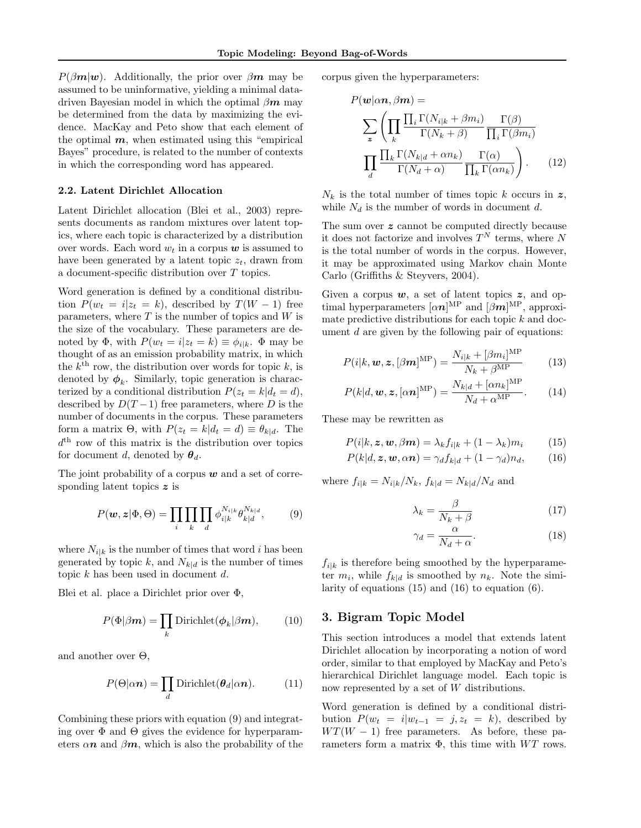$P(\beta m|\mathbf{w})$ . Additionally, the prior over  $\beta m$  may be assumed to be uninformative, yielding a minimal datadriven Bayesian model in which the optimal  $\beta m$  may be determined from the data by maximizing the evidence. MacKay and Peto show that each element of the optimal  $m$ , when estimated using this "empirical" Bayes" procedure, is related to the number of contexts in which the corresponding word has appeared.

#### 2.2. Latent Dirichlet Allocation

Latent Dirichlet allocation (Blei et al., 2003) represents documents as random mixtures over latent topics, where each topic is characterized by a distribution over words. Each word  $w_t$  in a corpus  $w$  is assumed to have been generated by a latent topic  $z_t$ , drawn from a document-specific distribution over T topics.

Word generation is defined by a conditional distribution  $P(w_t = i | z_t = k)$ , described by  $T(W - 1)$  free parameters, where  $T$  is the number of topics and  $W$  is the size of the vocabulary. These parameters are denoted by  $\Phi$ , with  $P(w_t = i | z_t = k) \equiv \phi_{i|k}$ .  $\Phi$  may be thought of as an emission probability matrix, in which the  $k^{\text{th}}$  row, the distribution over words for topic k, is denoted by  $\phi_k$ . Similarly, topic generation is characterized by a conditional distribution  $P(z_t = k|d_t = d)$ , described by  $D(T-1)$  free parameters, where D is the number of documents in the corpus. These parameters form a matrix  $\Theta$ , with  $P(z_t = k | d_t = d) \equiv \theta_{k|d}$ . The  $d<sup>th</sup>$  row of this matrix is the distribution over topics for document d, denoted by  $\theta_d$ .

The joint probability of a corpus  $w$  and a set of corresponding latent topics z is

$$
P(\mathbf{w}, \mathbf{z} | \Phi, \Theta) = \prod_{i} \prod_{k} \prod_{d} \phi_{i|k}^{N_{i|k}} \theta_{k|d}^{N_{k|d}}, \qquad (9)
$$

where  $N_{i|k}$  is the number of times that word i has been generated by topic k, and  $N_{k|d}$  is the number of times topic k has been used in document d.

Blei et al. place a Dirichlet prior over Φ,

$$
P(\Phi|\beta m) = \prod_{k} \text{Dirichlet}(\phi_k|\beta m), \quad (10)
$$

and another over  $\Theta$ ,

$$
P(\Theta|\alpha n) = \prod_{d} \text{Dirichlet}(\boldsymbol{\theta}_{d}|\alpha n). \tag{11}
$$

Combining these priors with equation (9) and integrating over  $\Phi$  and  $\Theta$  gives the evidence for hyperparameters  $\alpha n$  and  $\beta m$ , which is also the probability of the corpus given the hyperparameters:

$$
P(\mathbf{w}|\alpha \mathbf{n}, \beta \mathbf{m}) =
$$

$$
\sum_{\mathbf{z}} \left( \prod_{k} \frac{\prod_{i} \Gamma(N_{i|k} + \beta m_{i})}{\Gamma(N_{k} + \beta)} \frac{\Gamma(\beta)}{\prod_{i} \Gamma(\beta m_{i})} \right)
$$

$$
\prod_{d} \frac{\prod_{k} \Gamma(N_{k|d} + \alpha n_{k})}{\Gamma(N_{d} + \alpha)} \frac{\Gamma(\alpha)}{\prod_{k} \Gamma(\alpha n_{k})} \right). \tag{12}
$$

 $N_k$  is the total number of times topic k occurs in z, while  $N_d$  is the number of words in document d.

The sum over  $z$  cannot be computed directly because it does not factorize and involves  $T<sup>N</sup>$  terms, where N is the total number of words in the corpus. However, it may be approximated using Markov chain Monte Carlo (Griffiths & Steyvers, 2004).

Given a corpus  $w$ , a set of latent topics  $z$ , and optimal hyperparameters  $[\alpha n]^{\text{MP}}$  and  $[\beta m]^{\text{MP}}$ , approximate predictive distributions for each topic  $k$  and document  $d$  are given by the following pair of equations:

$$
P(i|k, \mathbf{w}, \mathbf{z}, [\beta \mathbf{m}]^{\text{MP}}) = \frac{N_{i|k} + [\beta m_i]^{\text{MP}}}{N_k + \beta^{\text{MP}}} \tag{13}
$$

$$
P(k|d, \mathbf{w}, \mathbf{z}, [\alpha \mathbf{n}]^{\text{MP}}) = \frac{N_{k|d} + [\alpha n_k]^{\text{MP}}}{N_d + \alpha^{\text{MP}}}.
$$
 (14)

These may be rewritten as

$$
P(i|k, z, \mathbf{w}, \beta \mathbf{m}) = \lambda_k f_{i|k} + (1 - \lambda_k) m_i \tag{15}
$$

$$
P(k|d, \mathbf{z}, \mathbf{w}, \alpha \mathbf{n}) = \gamma_d f_{k|d} + (1 - \gamma_d) n_d, \qquad (16)
$$

where  $f_{i|k} = N_{i|k}/N_k$ ,  $f_{k|d} = N_{k|d}/N_d$  and

$$
\lambda_k = \frac{\beta}{N_k + \beta} \tag{17}
$$

$$
\gamma_d = \frac{\alpha}{N_d + \alpha}.\tag{18}
$$

 $f_{i|k}$  is therefore being smoothed by the hyperparameter  $m_i$ , while  $f_{k|d}$  is smoothed by  $n_k$ . Note the similarity of equations  $(15)$  and  $(16)$  to equation  $(6)$ .

#### 3. Bigram Topic Model

This section introduces a model that extends latent Dirichlet allocation by incorporating a notion of word order, similar to that employed by MacKay and Peto's hierarchical Dirichlet language model. Each topic is now represented by a set of W distributions.

Word generation is defined by a conditional distribution  $P(w_t = i|w_{t-1} = j, z_t = k)$ , described by  $WT(W - 1)$  free parameters. As before, these parameters form a matrix  $\Phi$ , this time with WT rows.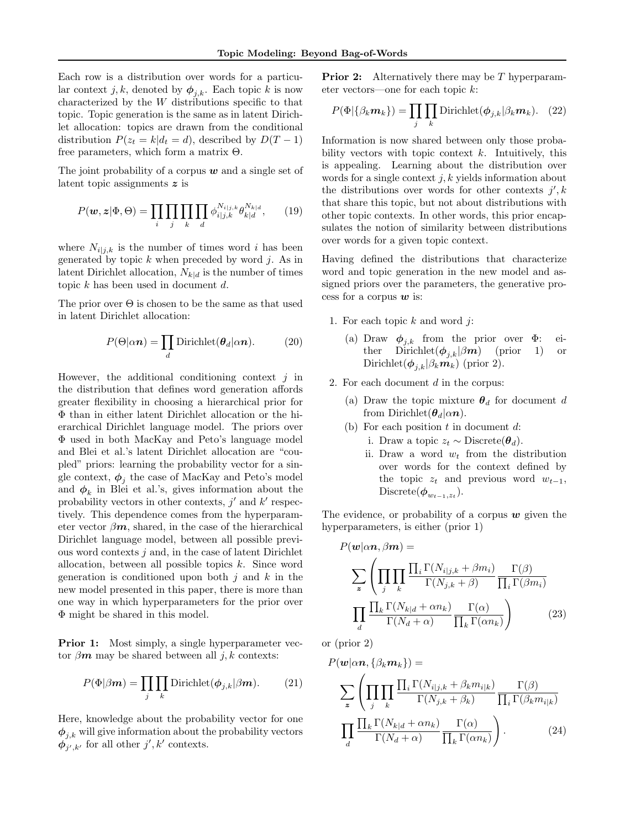Each row is a distribution over words for a particular context j, k, denoted by  $\phi_{i,k}$ . Each topic k is now characterized by the  $W$  distributions specific to that topic. Topic generation is the same as in latent Dirichlet allocation: topics are drawn from the conditional distribution  $P(z_t = k | d_t = d)$ , described by  $D(T - 1)$ free parameters, which form a matrix Θ.

The joint probability of a corpus  $w$  and a single set of latent topic assignments z is

$$
P(\boldsymbol{w}, \boldsymbol{z} | \boldsymbol{\Phi}, \boldsymbol{\Theta}) = \prod_{i} \prod_{j} \prod_{k} \prod_{d} \phi_{i|j,k}^{N_{i|j,k}} \theta_{k|d}^{N_{k|d}}, \qquad (19)
$$

where  $N_{i|j,k}$  is the number of times word i has been generated by topic  $k$  when preceded by word  $j$ . As in latent Dirichlet allocation,  $N_{k|d}$  is the number of times topic  $k$  has been used in document  $d$ .

The prior over  $\Theta$  is chosen to be the same as that used in latent Dirichlet allocation:

$$
P(\Theta|\alpha n) = \prod_{d} \text{Dirichlet}(\theta_d|\alpha n). \tag{20}
$$

However, the additional conditioning context  $j$  in the distribution that defines word generation affords greater flexibility in choosing a hierarchical prior for Φ than in either latent Dirichlet allocation or the hierarchical Dirichlet language model. The priors over Φ used in both MacKay and Peto's language model and Blei et al.'s latent Dirichlet allocation are "coupled" priors: learning the probability vector for a single context,  $\phi_j$  the case of MacKay and Peto's model and  $\phi_k$  in Blei et al.'s, gives information about the probability vectors in other contexts,  $j'$  and  $k'$  respectively. This dependence comes from the hyperparameter vector  $\beta m$ , shared, in the case of the hierarchical Dirichlet language model, between all possible previous word contexts  $j$  and, in the case of latent Dirichlet allocation, between all possible topics  $k$ . Since word generation is conditioned upon both  $j$  and  $k$  in the new model presented in this paper, there is more than one way in which hyperparameters for the prior over Φ might be shared in this model.

**Prior 1:** Most simply, a single hyperparameter vector  $\beta m$  may be shared between all j, k contexts:

$$
P(\Phi|\beta m) = \prod_{j} \prod_{k} \text{Dirichlet}(\phi_{j,k}|\beta m). \tag{21}
$$

Here, knowledge about the probability vector for one  $\phi_{i,k}$  will give information about the probability vectors  $\phi_{j',k'}$  for all other  $j',k'$  contexts.

**Prior 2:** Alternatively there may be T hyperparameter vectors—one for each topic k:

$$
P(\Phi|\{\beta_k \mathbf{m}_k\}) = \prod_j \prod_k \text{Dirichlet}(\boldsymbol{\phi}_{j,k}|\beta_k \mathbf{m}_k). \quad (22)
$$

Information is now shared between only those probability vectors with topic context  $k$ . Intuitively, this is appealing. Learning about the distribution over words for a single context  $j, k$  yields information about the distributions over words for other contexts  $j', k$ that share this topic, but not about distributions with other topic contexts. In other words, this prior encapsulates the notion of similarity between distributions over words for a given topic context.

Having defined the distributions that characterize word and topic generation in the new model and assigned priors over the parameters, the generative process for a corpus  $w$  is:

1. For each topic  $k$  and word  $i$ :

- (a) Draw  $\phi_{j,k}$  from the prior over  $\Phi$ : either Dirichlet $(\phi_{i,k}|\beta m)$  (prior 1) or Dirichlet( $\phi_{i,k}|\beta_k m_k$ ) (prior 2).
- 2. For each document d in the corpus:
	- (a) Draw the topic mixture  $\theta_d$  for document d from Dirichlet $(\theta_d|\alpha n)$ .
	- (b) For each position  $t$  in document  $d$ :
		- i. Draw a topic  $z_t \sim \text{Discrete}(\boldsymbol{\theta}_d)$ .
		- ii. Draw a word  $w_t$  from the distribution over words for the context defined by the topic  $z_t$  and previous word  $w_{t-1}$ , Discrete $(\boldsymbol{\phi}_{w_{t-1},z_t})$ .

The evidence, or probability of a corpus  $w$  given the hyperparameters, is either (prior 1)

$$
P(\mathbf{w}|\alpha \mathbf{n}, \beta \mathbf{m}) =
$$
  
\n
$$
\sum_{\mathbf{z}} \left( \prod_{j} \prod_{k} \frac{\prod_{i} \Gamma(N_{i|j,k} + \beta m_{i})}{\Gamma(N_{j,k} + \beta)} \frac{\Gamma(\beta)}{\prod_{i} \Gamma(\beta m_{i})} \right)
$$
  
\n
$$
\prod_{d} \frac{\prod_{k} \Gamma(N_{k|d} + \alpha n_{k})}{\Gamma(N_{d} + \alpha)} \frac{\Gamma(\alpha)}{\prod_{k} \Gamma(\alpha n_{k})} \right)
$$
(23)

or (prior 2)

$$
P(\mathbf{w}|\alpha \mathbf{n}, \{\beta_k \mathbf{m}_k\}) =
$$
  
\n
$$
\sum_{\mathbf{z}} \left( \prod_j \prod_k \frac{\prod_i \Gamma(N_{i|j,k} + \beta_k m_{i|k})}{\Gamma(N_{j,k} + \beta_k)} \frac{\Gamma(\beta)}{\prod_i \Gamma(\beta_k m_{i|k})} \right)
$$
  
\n
$$
\prod_d \frac{\prod_k \Gamma(N_{k|d} + \alpha n_k)}{\Gamma(N_d + \alpha)} \frac{\Gamma(\alpha)}{\prod_k \Gamma(\alpha n_k)}.
$$
 (24)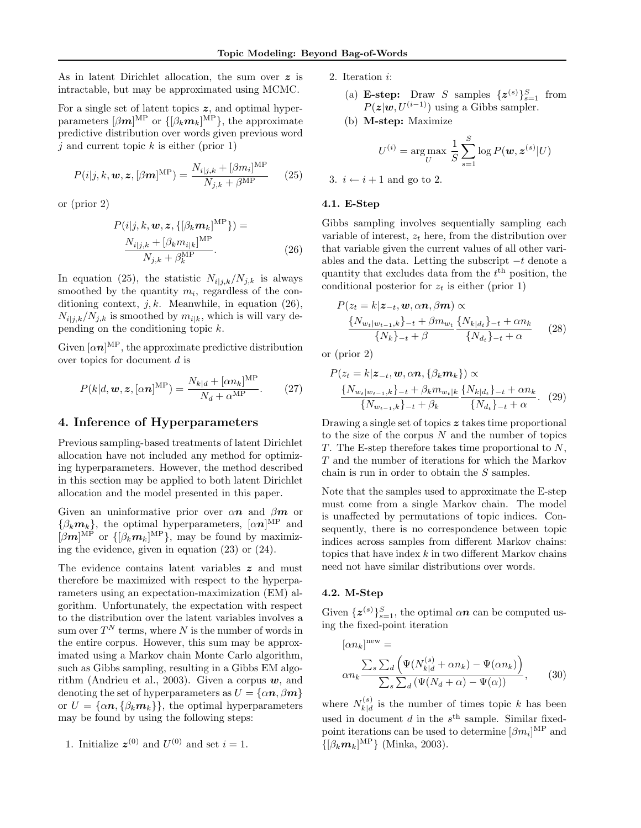As in latent Dirichlet allocation, the sum over z is intractable, but may be approximated using MCMC.

For a single set of latent topics z, and optimal hyperparameters  $[\beta m]^{\text{MP}}$  or  $\{[\beta_k m_k]^{\text{MP}}\}$ , the approximate predictive distribution over words given previous word  $i$  and current topic k is either (prior 1)

$$
P(i|j,k,\mathbf{w},\mathbf{z},[\beta\mathbf{m}]^{\text{MP}}) = \frac{N_{i|j,k} + [\beta m_i]^{\text{MP}}}{N_{j,k} + \beta^{\text{MP}}} \qquad (25)
$$

or (prior 2)

$$
P(i|j, k, \mathbf{w}, \mathbf{z}, \{[\beta_k \mathbf{m}_k]^{\text{MP}}\}) =
$$

$$
\frac{N_{i|j,k} + [\beta_k m_{i|k}]^{\text{MP}}}{N_{j,k} + \beta_k^{\text{MP}}}.
$$
(26)

In equation (25), the statistic  $N_{i|j,k}/N_{j,k}$  is always smoothed by the quantity  $m_i$ , regardless of the conditioning context,  $j, k$ . Meanwhile, in equation (26),  $N_{i|j,k}/N_{j,k}$  is smoothed by  $m_{i|k}$ , which is will vary depending on the conditioning topic  $k$ .

Given  $[\alpha n]^{\text{MP}}$ , the approximate predictive distribution over topics for document d is

$$
P(k|d, \mathbf{w}, \mathbf{z}, [\alpha \mathbf{n}]^{\text{MP}}) = \frac{N_{k|d} + [\alpha n_k]^{\text{MP}}}{N_d + \alpha^{\text{MP}}}.
$$
 (27)

#### 4. Inference of Hyperparameters

Previous sampling-based treatments of latent Dirichlet allocation have not included any method for optimizing hyperparameters. However, the method described in this section may be applied to both latent Dirichlet allocation and the model presented in this paper.

Given an uninformative prior over  $\alpha n$  and  $\beta m$  or  $\{\beta_k m_k\}$ , the optimal hyperparameters,  $[\alpha n]^{\text{MP}}$  and  $[\beta m]^{\text{MP}}$  or  $\{[\beta_k m_k]^{\text{MP}}\}$ , may be found by maximizing the evidence, given in equation (23) or (24).

The evidence contains latent variables z and must therefore be maximized with respect to the hyperparameters using an expectation-maximization (EM) algorithm. Unfortunately, the expectation with respect to the distribution over the latent variables involves a sum over  $T^N$  terms, where N is the number of words in the entire corpus. However, this sum may be approximated using a Markov chain Monte Carlo algorithm, such as Gibbs sampling, resulting in a Gibbs EM algorithm (Andrieu et al., 2003). Given a corpus  $w$ , and denoting the set of hyperparameters as  $U = \{\alpha n, \beta m\}$ or  $U = {\alpha n, {\beta_k m_k}}$ , the optimal hyperparameters may be found by using the following steps:

- 2. Iteration i:
	- (a) **E-step:** Draw S samples  $\{z^{(s)}\}_{s=1}^S$  from  $P(z|w, U^{(i-1)})$  using a Gibbs sampler.
	- (b) M-step: Maximize

$$
U^{(i)} = \argmax_{U} \frac{1}{S} \sum_{s=1}^{S} \log P(\boldsymbol{w}, \boldsymbol{z}^{(s)} | U)
$$

3.  $i \leftarrow i + 1$  and go to 2.

#### 4.1. E-Step

Gibbs sampling involves sequentially sampling each variable of interest,  $z_t$  here, from the distribution over that variable given the current values of all other variables and the data. Letting the subscript  $-t$  denote a quantity that excludes data from the  $t<sup>th</sup>$  position, the conditional posterior for  $z_t$  is either (prior 1)

$$
P(z_t = k | \mathbf{z}_{-t}, \mathbf{w}, \alpha \mathbf{n}, \beta \mathbf{m}) \propto
$$
  

$$
\frac{\{N_{w_t | w_{t-1}, k}\}_{-t} + \beta m_{w_t}}{\{N_k\}_{-t} + \beta} \frac{\{N_{k | d_t}\}_{-t} + \alpha n_k}{\{N_{d_t}\}_{-t} + \alpha}
$$
 (28)

or (prior 2)

$$
P(z_t = k | \mathbf{z}_{-t}, \mathbf{w}, \alpha \mathbf{n}, \{\beta_k \mathbf{m}_k\}) \propto
$$
  

$$
\frac{\{N_{w_t | w_{t-1}, k}\}_{-t} + \beta_k m_{w_t | k}}{\{N_{w_{t-1}, k}\}_{-t} + \beta_k} \frac{\{N_{k | d_t}\}_{-t} + \alpha n_k}{\{N_{d_t}\}_{-t} + \alpha}.
$$
 (29)

Drawing a single set of topics z takes time proportional to the size of the corpus  $N$  and the number of topics T. The E-step therefore takes time proportional to N, T and the number of iterations for which the Markov chain is run in order to obtain the S samples.

Note that the samples used to approximate the E-step must come from a single Markov chain. The model is unaffected by permutations of topic indices. Consequently, there is no correspondence between topic indices across samples from different Markov chains: topics that have index  $k$  in two different Markov chains need not have similar distributions over words.

## 4.2. M-Step

Given  $\{z^{(s)}\}_{s=1}^S$ , the optimal  $\alpha n$  can be computed using the fixed-point iteration

$$
[\alpha n_k]^{\text{new}} =
$$
  
\n
$$
\alpha n_k \frac{\sum_{s} \sum_{d} (\Psi(N_{k|d}^{(s)} + \alpha n_k) - \Psi(\alpha n_k))}{\sum_{s} \sum_{d} (\Psi(N_d + \alpha) - \Psi(\alpha))},
$$
 (30)

where  $N_{k|d}^{(s)}$  $\binom{S}{k|d}$  is the number of times topic k has been used in document  $d$  in the  $s<sup>th</sup>$  sample. Similar fixedpoint iterations can be used to determine  $[\beta m_i]^{\text{MP}}$  and  $\{[\beta_k m_k]^{\text{MP}}\}\$ (Minka, 2003).

<sup>1.</sup> Initialize  $z^{(0)}$  and  $U^{(0)}$  and set  $i = 1$ .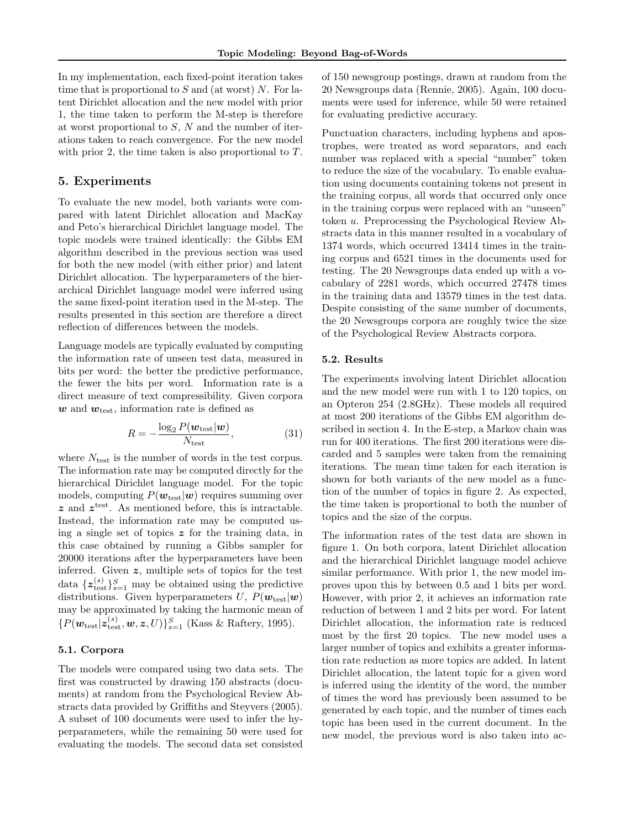In my implementation, each fixed-point iteration takes time that is proportional to  $S$  and (at worst) N. For latent Dirichlet allocation and the new model with prior 1, the time taken to perform the M-step is therefore at worst proportional to  $S$ ,  $N$  and the number of iterations taken to reach convergence. For the new model with prior 2, the time taken is also proportional to T.

## 5. Experiments

To evaluate the new model, both variants were compared with latent Dirichlet allocation and MacKay and Peto's hierarchical Dirichlet language model. The topic models were trained identically: the Gibbs EM algorithm described in the previous section was used for both the new model (with either prior) and latent Dirichlet allocation. The hyperparameters of the hierarchical Dirichlet language model were inferred using the same fixed-point iteration used in the M-step. The results presented in this section are therefore a direct reflection of differences between the models.

Language models are typically evaluated by computing the information rate of unseen test data, measured in bits per word: the better the predictive performance, the fewer the bits per word. Information rate is a direct measure of text compressibility. Given corpora  $w$  and  $w_{test}$ , information rate is defined as

$$
R = -\frac{\log_2 P(\boldsymbol{w}_{\text{test}}|\boldsymbol{w})}{N_{\text{test}}},\tag{31}
$$

where  $N_{\text{test}}$  is the number of words in the test corpus. The information rate may be computed directly for the hierarchical Dirichlet language model. For the topic models, computing  $P(\boldsymbol{w}_{\text{test}}|\boldsymbol{w})$  requires summing over  $z$  and  $z<sup>test</sup>$ . As mentioned before, this is intractable. Instead, the information rate may be computed using a single set of topics  $z$  for the training data, in this case obtained by running a Gibbs sampler for 20000 iterations after the hyperparameters have been inferred. Given z, multiple sets of topics for the test data  $\{z_{\text{test}}^{(s)}\}_{s=1}^S$  may be obtained using the predictive distributions. Given hyperparameters U,  $P(\boldsymbol{w}_{\text{test}}|\boldsymbol{w})$ may be approximated by taking the harmonic mean of  $\{P(\boldsymbol{w}_{\text{test}}|\boldsymbol{z}_{\text{test}}^{(s)},\boldsymbol{w},\boldsymbol{z},U)\}_{s=1}^S$  (Kass & Raftery, 1995).

#### 5.1. Corpora

The models were compared using two data sets. The first was constructed by drawing 150 abstracts (documents) at random from the Psychological Review Abstracts data provided by Griffiths and Steyvers (2005). A subset of 100 documents were used to infer the hyperparameters, while the remaining 50 were used for evaluating the models. The second data set consisted of 150 newsgroup postings, drawn at random from the 20 Newsgroups data (Rennie, 2005). Again, 100 documents were used for inference, while 50 were retained for evaluating predictive accuracy.

Punctuation characters, including hyphens and apostrophes, were treated as word separators, and each number was replaced with a special "number" token to reduce the size of the vocabulary. To enable evaluation using documents containing tokens not present in the training corpus, all words that occurred only once in the training corpus were replaced with an "unseen" token u. Preprocessing the Psychological Review Abstracts data in this manner resulted in a vocabulary of 1374 words, which occurred 13414 times in the training corpus and 6521 times in the documents used for testing. The 20 Newsgroups data ended up with a vocabulary of 2281 words, which occurred 27478 times in the training data and 13579 times in the test data. Despite consisting of the same number of documents, the 20 Newsgroups corpora are roughly twice the size of the Psychological Review Abstracts corpora.

#### 5.2. Results

The experiments involving latent Dirichlet allocation and the new model were run with 1 to 120 topics, on an Opteron 254 (2.8GHz). These models all required at most 200 iterations of the Gibbs EM algorithm described in section 4. In the E-step, a Markov chain was run for 400 iterations. The first 200 iterations were discarded and 5 samples were taken from the remaining iterations. The mean time taken for each iteration is shown for both variants of the new model as a function of the number of topics in figure 2. As expected, the time taken is proportional to both the number of topics and the size of the corpus.

The information rates of the test data are shown in figure 1. On both corpora, latent Dirichlet allocation and the hierarchical Dirichlet language model achieve similar performance. With prior 1, the new model improves upon this by between 0.5 and 1 bits per word. However, with prior 2, it achieves an information rate reduction of between 1 and 2 bits per word. For latent Dirichlet allocation, the information rate is reduced most by the first 20 topics. The new model uses a larger number of topics and exhibits a greater information rate reduction as more topics are added. In latent Dirichlet allocation, the latent topic for a given word is inferred using the identity of the word, the number of times the word has previously been assumed to be generated by each topic, and the number of times each topic has been used in the current document. In the new model, the previous word is also taken into ac-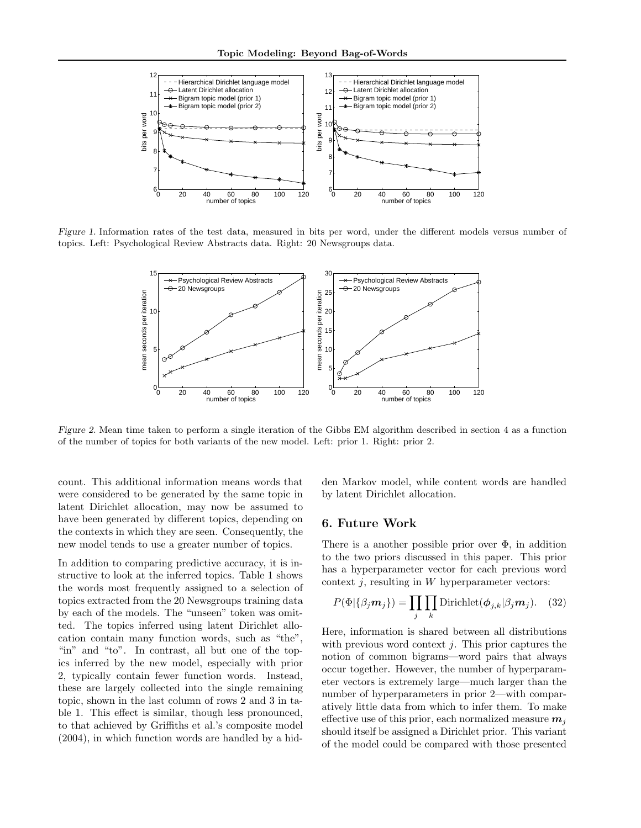

Figure 1. Information rates of the test data, measured in bits per word, under the different models versus number of topics. Left: Psychological Review Abstracts data. Right: 20 Newsgroups data.



Figure 2. Mean time taken to perform a single iteration of the Gibbs EM algorithm described in section 4 as a function of the number of topics for both variants of the new model. Left: prior 1. Right: prior 2.

count. This additional information means words that were considered to be generated by the same topic in latent Dirichlet allocation, may now be assumed to have been generated by different topics, depending on the contexts in which they are seen. Consequently, the new model tends to use a greater number of topics.

In addition to comparing predictive accuracy, it is instructive to look at the inferred topics. Table 1 shows the words most frequently assigned to a selection of topics extracted from the 20 Newsgroups training data by each of the models. The "unseen" token was omitted. The topics inferred using latent Dirichlet allocation contain many function words, such as "the", "in" and "to". In contrast, all but one of the topics inferred by the new model, especially with prior 2, typically contain fewer function words. Instead, these are largely collected into the single remaining topic, shown in the last column of rows 2 and 3 in table 1. This effect is similar, though less pronounced, to that achieved by Griffiths et al.'s composite model (2004), in which function words are handled by a hidden Markov model, while content words are handled by latent Dirichlet allocation.

## 6. Future Work

There is a another possible prior over  $\Phi$ , in addition to the two priors discussed in this paper. This prior has a hyperparameter vector for each previous word context  $j$ , resulting in  $W$  hyperparameter vectors:

$$
P(\Phi|\{\beta_j \mathbf{m}_j\}) = \prod_j \prod_k \text{Dirichlet}(\phi_{j,k}|\beta_j \mathbf{m}_j). \quad (32)
$$

Here, information is shared between all distributions with previous word context  $j$ . This prior captures the notion of common bigrams—word pairs that always occur together. However, the number of hyperparameter vectors is extremely large—much larger than the number of hyperparameters in prior 2—with comparatively little data from which to infer them. To make effective use of this prior, each normalized measure  $m_i$ should itself be assigned a Dirichlet prior. This variant of the model could be compared with those presented